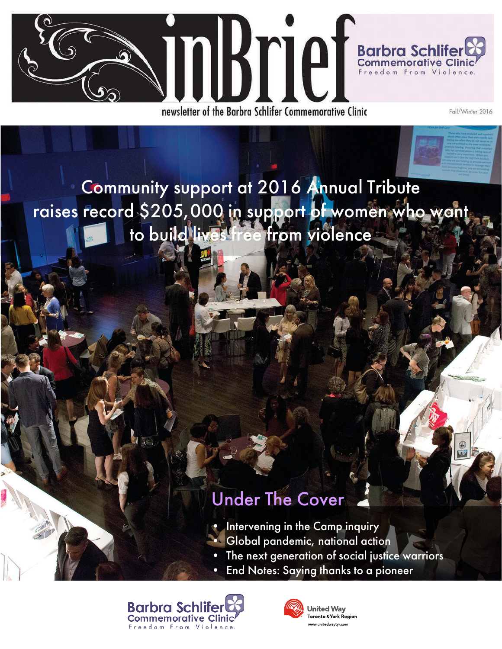

newsletter of the Barbra Schlifer Commemorative Clinic

Fall/Winter 2016

Community support at 2016 Annual Tribute raises record \$205,000 in support of women who want to build lives free from violence

# Under The Cover

- Intervening in the Camp inquiry
- Global pandemic, national action
- The next generation of social justice warriors
- End Notes: Saying thanks to a pioneer





**United Way** Toronto & York Region www.unitedwavtvr.com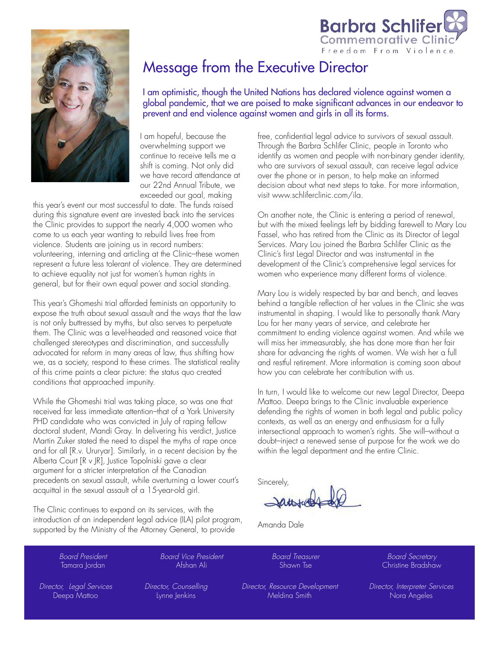

# Message from the Executive Director

I am optimistic, though the United Nations has declared violence against women a global pandemic, that we are poised to make significant advances in our endeavor to prevent and end violence against women and girls in all its forms.

I am hopeful, because the overwhelming support we continue to receive tells me a shift is coming. Not only did we have record attendance at our 22nd Annual Tribute, we exceeded our goal, making

this year's event our most successful to date. The funds raised during this signature event are invested back into the services the Clinic provides to support the nearly 4,000 women who come to us each year wanting to rebuild lives free from violence. Students are joining us in record numbers: volunteering, interning and articling at the Clinic–these women represent a future less tolerant of violence. They are determined to achieve equality not just for women's human rights in general, but for their own equal power and social standing.

This year's Ghomeshi trial afforded feminists an opportunity to expose the truth about sexual assault and the ways that the law is not only buttressed by myths, but also serves to perpetuate them. The Clinic was a level-headed and reasoned voice that challenged stereotypes and discrimination, and successfully advocated for reform in many areas of law, thus shifting how we, as a society, respond to these crimes. The statistical reality of this crime paints a clear picture: the status quo created conditions that approached impunity.

While the Ghomeshi trial was taking place, so was one that received far less immediate attention–that of a York University PHD candidate who was convicted in July of raping fellow doctoral student, Mandi Gray. In delivering his verdict, Justice Martin Zuker stated the need to dispel the myths of rape once and for all [R.v. Ururyar]. Similarly, in a recent decision by the Alberta Court [R v JR], Justice Topolniski gave a clear argument for a stricter interpretation of the Canadian precedents on sexual assault, while overturning a lower court's acquittal in the sexual assault of a 15-year-old girl.

The Clinic continues to expand on its services, with the introduction of an independent legal advice (ILA) pilot program, supported by the Ministry of the Attorney General, to provide

free, confidential legal advice to survivors of sexual assault. Through the Barbra Schlifer Clinic, people in Toronto who identify as women and people with non-binary gender identity, who are survivors of sexual assault, can receive legal advice over the phone or in person, to help make an informed decision about what next steps to take. For more information, visit www.schliferclinic.com/ila.

**Barbra Schlif** Commemorative C Freedom From Violence

On another note, the Clinic is entering a period of renewal, but with the mixed feelings left by bidding farewell to Mary Lou Fassel, who has retired from the Clinic as its Director of Legal Services. Mary Lou joined the Barbra Schlifer Clinic as the Clinic's first Legal Director and was instrumental in the development of the Clinic's comprehensive legal services for women who experience many different forms of violence.

Mary Lou is widely respected by bar and bench, and leaves behind a tangible reflection of her values in the Clinic she was instrumental in shaping. I would like to personally thank Mary Lou for her many years of service, and celebrate her commitment to ending violence against women. And while we will miss her immeasurably, she has done more than her fair share for advancing the rights of women. We wish her a full and restful retirement. More information is coming soon about how you can celebrate her contribution with us.

In turn, I would like to welcome our new Legal Director, Deepa Mattoo. Deepa brings to the Clinic invaluable experience defending the rights of women in both legal and public policy contexts, as well as an energy and enthusiasm for a fully intersectional approach to women's rights. She will–without a doubt–inject a renewed sense of purpose for the work we do within the legal department and the entire Clinic.

Sincerely,

Amanda Dale

Board President Tamara Jordan

Board Vice President Afshan Ali

Board Treasurer Shawn Tse

Director, Resource Development Meldina Smith

Board Secretary Christine Bradshaw

Director, Legal Services Deepa Mattoo

Director, Counselling Lynne Jenkins

Director, Interpreter Services Nora Angeles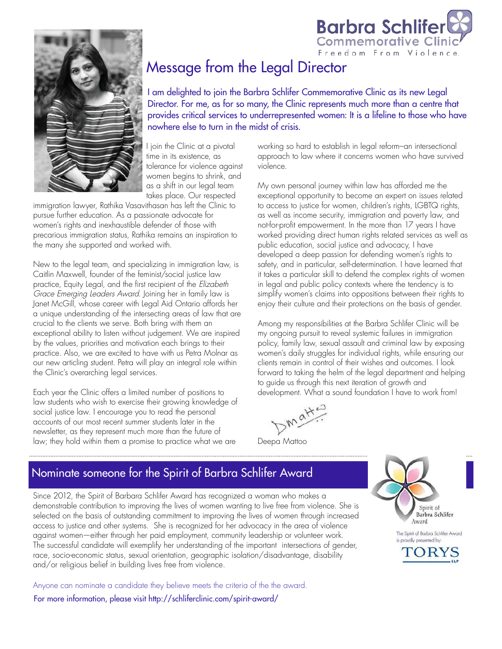



## Message from the Legal Director

I am delighted to join the Barbra Schlifer Commemorative Clinic as its new Legal Director. For me, as for so many, the Clinic represents much more than a centre that provides critical services to underrepresented women: It is a lifeline to those who have nowhere else to turn in the midst of crisis.

I join the Clinic at a pivotal time in its existence, as tolerance for violence against women begins to shrink, and as a shift in our legal team takes place. Our respected

immigration lawyer, Rathika Vasavithasan has left the Clinic to pursue further education. As a passionate advocate for women's rights and inexhaustible defender of those with precarious immigration status, Rathika remains an inspiration to the many she supported and worked with.

New to the legal team, and specializing in immigration law, is Caitlin Maxwell, founder of the feminist/social justice law practice, Equity Legal, and the first recipient of the Elizabeth Grace Emerging Leaders Award. Joining her in family law is Janet McGill, whose career with Legal Aid Ontario affords her a unique understanding of the intersecting areas of law that are crucial to the clients we serve. Both bring with them an exceptional ability to listen without judgement. We are inspired by the values, priorities and motivation each brings to their practice. Also, we are excited to have with us Petra Molnar as our new articling student. Petra will play an integral role within the Clinic's overarching legal services.

Each year the Clinic offers a limited number of positions to law students who wish to exercise their growing knowledge of social justice law. I encourage you to read the personal accounts of our most recent summer students later in the newsletter, as they represent much more than the future of law; they hold within them a promise to practice what we are

working so hard to establish in legal reform–an intersectional approach to law where it concerns women who have survived violence.

My own personal journey within law has afforded me the exceptional opportunity to become an expert on issues related to access to justice for women, children's rights, LGBTQ rights, as well as income security, immigration and poverty law, and not-for-profit empowerment. In the more than 17 years I have worked providing direct human rights related services as well as public education, social justice and advocacy, I have developed a deep passion for defending women's rights to safety, and in particular, self-determination. I have learned that it takes a particular skill to defend the complex rights of women in legal and public policy contexts where the tendency is to simplify women's claims into oppositions between their rights to enjoy their culture and their protections on the basis of gender.

Among my responsibilities at the Barbra Schlifer Clinic will be my ongoing pursuit to reveal systemic failures in immigration policy, family law, sexual assault and criminal law by exposing women's daily struggles for individual rights, while ensuring our clients remain in control of their wishes and outcomes. I look forward to taking the helm of the legal department and helping to guide us through this next iteration of growth and development. What a sound foundation I have to work from!

Deepa Mattoo

## Nominate someone for the Spirit of Barbra Schlifer Award

Since 2012, the Spirit of Barbara Schlifer Award has recognized a woman who makes a demonstrable contribution to improving the lives of women wanting to live free from violence. She is selected on the basis of outstanding commitment to improving the lives of women through increased access to justice and other systems. She is recognized for her advocacy in the area of violence against women—either through her paid employment, community leadership or volunteer work. The successful candidate will exemplify her understanding of the important intersections of gender, race, socio-economic status, sexual orientation, geographic isolation/disadvantage, disability and/or religious belief in building lives free from violence.

Anyone can nominate a candidate they believe meets the criteria of the the award. For more information, please visit http://schliferclinic.com/spirit-award/



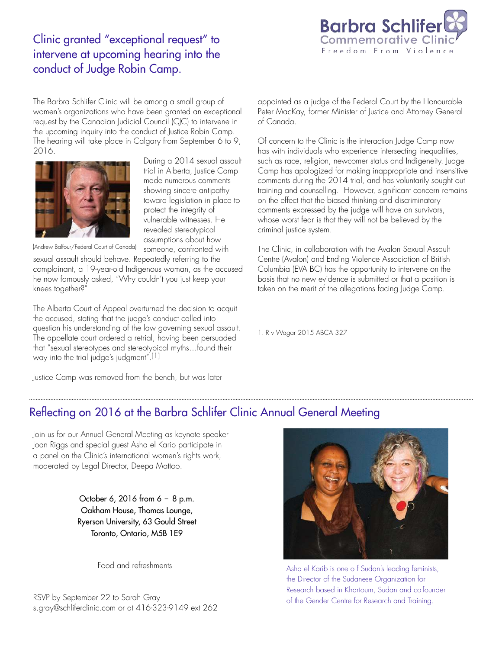

### Clinic granted "exceptional request" to intervene at upcoming hearing into the conduct of Judge Robin Camp.

The Barbra Schlifer Clinic will be among a small group of women's organizations who have been granted an exceptional request by the Canadian Judicial Council (CJC) to intervene in the upcoming inquiry into the conduct of Justice Robin Camp. The hearing will take place in Calgary from September 6 to 9, 2016.



During a 2014 sexual assault trial in Alberta, Justice Camp made numerous comments showing sincere antipathy toward legislation in place to protect the integrity of vulnerable witnesses. He revealed stereotypical assumptions about how someone, confronted with

(Andrew Balfour/Federal Court of Canada)

sexual assault should behave. Repeatedly referring to the complainant, a 19-year-old Indigenous woman, as the accused he now famously asked, "Why couldn't you just keep your knees together?"

The Alberta Court of Appeal overturned the decision to acquit the accused, stating that the judge's conduct called into question his understanding of the law governing sexual assault. The appellate court ordered a retrial, having been persuaded that "sexual stereotypes and stereotypical myths…found their way into the trial judge's judgment".[1]

Justice Camp was removed from the bench, but was later

appointed as a judge of the Federal Court by the Honourable Peter MacKay, former Minister of Justice and Attorney General of Canada.

Of concern to the Clinic is the interaction Judge Camp now has with individuals who experience intersecting inequalities, such as race, religion, newcomer status and Indigeneity. Judge Camp has apologized for making inappropriate and insensitive comments during the 2014 trial, and has voluntarily sought out training and counselling. However, significant concern remains on the effect that the biased thinking and discriminatory comments expressed by the judge will have on survivors, whose worst fear is that they will not be believed by the criminal justice system.

The Clinic, in collaboration with the Avalon Sexual Assault Centre (Avalon) and Ending Violence Association of British Columbia (EVA BC) has the opportunity to intervene on the basis that no new evidence is submitted or that a position is taken on the merit of the allegations facing Judge Camp.

1. R v Wagar 2015 ABCA 327

### Reflecting on 2016 at the Barbra Schlifer Clinic Annual General Meeting

Join us for our Annual General Meeting as keynote speaker Joan Riggs and special guest Asha el Karib participate in a panel on the Clinic's international women's rights work, moderated by Legal Director, Deepa Mattoo.

> October 6, 2016 from  $6 - 8$  p.m. Oakham House, Thomas Lounge, Ryerson University, 63 Gould Street Toronto, Ontario, M5B 1E9

> > Food and refreshments

RSVP by September 22 to Sarah Gray s.gray@schliferclinic.com or at 416-323-9149 ext 262



Asha el Karib is one o f Sudan's leading feminists, the Director of the Sudanese Organization for Research based in Khartoum, Sudan and co-founder of the Gender Centre for Research and Training.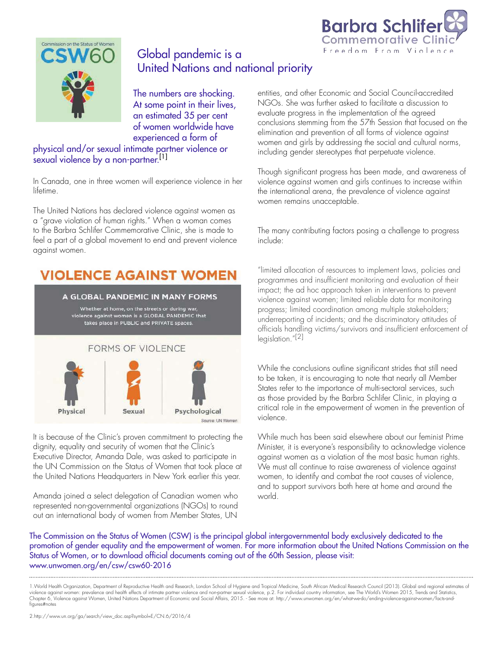



## Global pandemic is a United Nations and national priority

The numbers are shocking. At some point in their lives, an estimated 35 per cent of women worldwide have experienced a form of

#### physical and/or sexual intimate partner violence or sexual violence by a non-partner.<sup>[1]</sup>

In Canada, one in three women will experience violence in her lifetime.

The United Nations has declared violence against women as a "grave violation of human rights." When a woman comes to the Barbra Schlifer Commemorative Clinic, she is made to feel a part of a global movement to end and prevent violence against women.

# **VIOLENCE AGAINST WOMEN**

#### A GLOBAL PANDEMIC IN MANY FORMS

Whether at home, on the streets or during war,<br>violence against women is a GLOBAL PANDEMIC that takes place in PUBLIC and PRIVATE spaces.

#### **FORMS OF VIOLENCE**



It is because of the Clinic's proven commitment to protecting the dignity, equality and security of women that the Clinic's Executive Director, Amanda Dale, was asked to participate in the UN Commission on the Status of Women that took place at the United Nations Headquarters in New York earlier this year.

Amanda joined a select delegation of Canadian women who represented non-governmental organizations (NGOs) to round out an international body of women from Member States, UN

entities, and other Economic and Social Council-accredited NGOs. She was further asked to facilitate a discussion to evaluate progress in the implementation of the agreed conclusions stemming from the 57th Session that focused on the elimination and prevention of all forms of violence against women and girls by addressing the social and cultural norms, including gender stereotypes that perpetuate violence.

Though significant progress has been made, and awareness of violence against women and girls continues to increase within the international arena, the prevalence of violence against women remains unacceptable.

The many contributing factors posing a challenge to progress include:

"limited allocation of resources to implement laws, policies and programmes and insufficient monitoring and evaluation of their impact; the ad hoc approach taken in interventions to prevent violence against women; limited reliable data for monitoring progress; limited coordination among multiple stakeholders; underreporting of incidents; and the discriminatory attitudes of officials handling victims/survivors and insufficient enforcement of legislation."[2]

While the conclusions outline significant strides that still need to be taken, it is encouraging to note that nearly all Member States refer to the importance of multi-sectoral services, such as those provided by the Barbra Schlifer Clinic, in playing a critical role in the empowerment of women in the prevention of violence.

While much has been said elsewhere about our feminist Prime Minister, it is everyone's responsibility to acknowledge violence against women as a violation of the most basic human rights. We must all continue to raise awareness of violence against women, to identify and combat the root causes of violence, and to support survivors both here at home and around the world.

The Commission on the Status of Women (CSW) is the principal global intergovernmental body exclusively dedicated to the promotion of gender equality and the empowerment of women. For more information about the United Nations Commission on the Status of Women, or to download official documents coming out of the 60th Session, please visit: www.unwomen.org/en/csw/csw60-2016

1.World Health Organization, Department of Reproductive Health and Research, London School of Hygiene and Tropical Medicine, South African Medical Research Council (2013). Global and regional estimates of violence against women: prevalence and health effects of intimate partner violence and non-partner sexual violence, p.2. For individual country information, see The World's Women 2015, Trends and Statistics,<br>Chapter 6, Vio figures#notes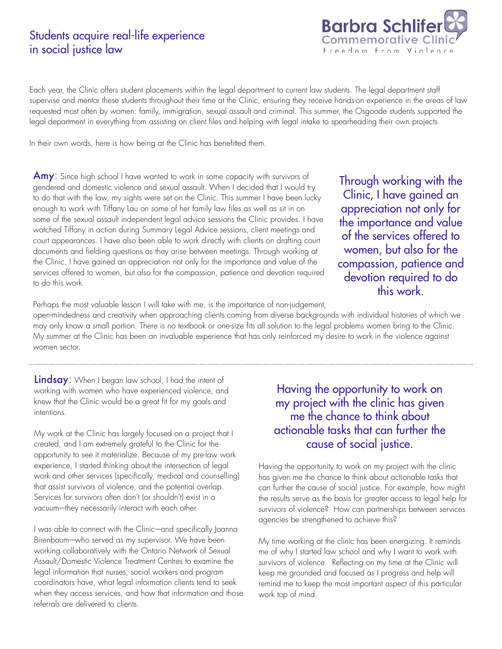### Students acquire real-life experience in social justice law



Each year, the Clinic offers student placements within the legal department to current law students. The legal department staff supervise and mentor these students throughout their time at the Clinic, ensuring they receive hands-on experience in the areas of law requested most often by women: family, immigration, sexual assault and criminal. This summer, the Osgoode students supported the legal department in everything from assisting on client files and helping with legal intake to spearheading their own projects.

In their own words, here is how being at the Clinic has benefitted them.

Amy: Since high school I have wanted to work in some capacity with survivors of gendered and domestic violence and sexual assault. When I decided that I would try to do that with the law, my sights were set on the Clinic. This summer I have been lucky enough to work with Tiffany Lau on some of her family law files as well as sit in on some of the sexual assault independent legal advice sessions the Clinic provides. I have watched Tiffany in action during Summary Legal Advice sessions, client meetings and court appearances. I have also been able to work directly with clients on drafting court documents and fielding questions as they arise between meetings. Through working at the Clinic, I have gained an appreciation not only for the importance and value of the services offered to women, but also for the compassion, patience and devotion required to do this work.

Through working with the Clinic, I have gained an appreciation not only for the importance and value of the services offered to women, but also for the compassion, patience and devotion required to do this work.

Perhaps the most valuable lesson I will take with me, is the importance of non-judgement,

open-mindedness and creativity when approaching clients coming from diverse backgrounds with individual histories of which we may only know a small portion. There is no textbook or one-size fits all solution to the legal problems women bring to the Clinic. My summer at the Clinic has been an invaluable experience that has only reinforced my desire to work in the violence against women sector.

Lindsay: When I began law school, I had the intent of working with women who have experienced violence, and knew that the Clinic would be a great fit for my goals and intentions.

My work at the Clinic has largely focused on a project that I created, and I am extremely grateful to the Clinic for the opportunity to see it materialize. Because of my pre-law work experience, I started thinking about the intersection of legal work and other services (specifically, medical and counselling) that assist survivors of violence, and the potential overlap. Services for survivors often don't (or shouldn't) exist in a vacuum–they necessarily interact with each other.

I was able to connect with the Clinic–and specifically Joanna Birenbaum–who served as my supervisor. We have been working collaboratively with the Ontario Network of Sexual Assault/Domestic Violence Treatment Centres to examine the legal information that nurses, social workers and program coordinators have, what legal information clients tend to seek when they access services, and how that information and those referrals are delivered to clients.

### Having the opportunity to work on my project with the clinic has given me the chance to think about actionable tasks that can further the cause of social justice.

Having the opportunity to work on my project with the clinic has given me the chance to think about actionable tasks that can further the cause of social justice. For example, how might the results serve as the basis for greater access to legal help for survivors of violence? How can partnerships between services agencies be strengthened to achieve this?

My time working at the clinic has been energizing. It reminds me of why I started law school and why I want to work with survivors of violence. Reflecting on my time at the Clinic will keep me grounded and focused as I progress and help will remind me to keep the most important aspect of this particular work top of mind.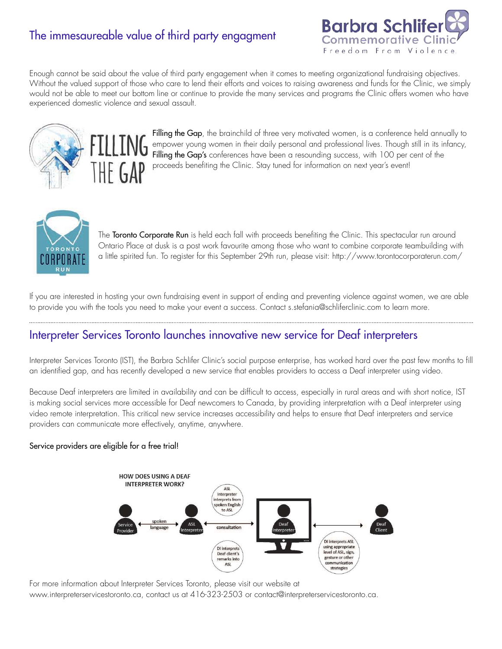## The immesaureable value of third party engagment



Enough cannot be said about the value of third party engagement when it comes to meeting organizational fundraising objectives. Without the valued support of those who care to lend their efforts and voices to raising awareness and funds for the Clinic, we simply would not be able to meet our bottom line or continue to provide the many services and programs the Clinic offers women who have experienced domestic violence and sexual assault.



Filling the Gap, the brainchild of three very motivated women, is a conference held annually to empower young women in their daily personal and professional lives. Though still in its infancy, Filling the Gap's conferences have been a resounding success, with 100 per cent of the proceeds benefiting the Clinic. Stay tuned for information on next year's event!



The Toronto Corporate Run is held each fall with proceeds benefiting the Clinic. This spectacular run around Ontario Place at dusk is a post work favourite among those who want to combine corporate teambuilding with a little spirited fun. To register for this September 29th run, please visit: http://www.torontocorporaterun.com/

If you are interested in hosting your own fundraising event in support of ending and preventing violence against women, we are able to provide you with the tools you need to make your event a success. Contact s.stefania@schliferclinic.com to learn more.

### Interpreter Services Toronto launches innovative new service for Deaf interpreters

Interpreter Services Toronto (IST), the Barbra Schlifer Clinic's social purpose enterprise, has worked hard over the past few months to fill an identified gap, and has recently developed a new service that enables providers to access a Deaf interpreter using video.

Because Deaf interpreters are limited in availability and can be difficult to access, especially in rural areas and with short notice, IST is making social services more accessible for Deaf newcomers to Canada, by providing interpretation with a Deaf interpreter using video remote interpretation. This critical new service increases accessibility and helps to ensure that Deaf interpreters and service providers can communicate more effectively, anytime, anywhere.

#### Service providers are eligible for a free trial!



For more information about Interpreter Services Toronto, please visit our website at www.interpreterservicestoronto.ca, contact us at 416-323-2503 or contact@interpreterservicestoronto.ca.